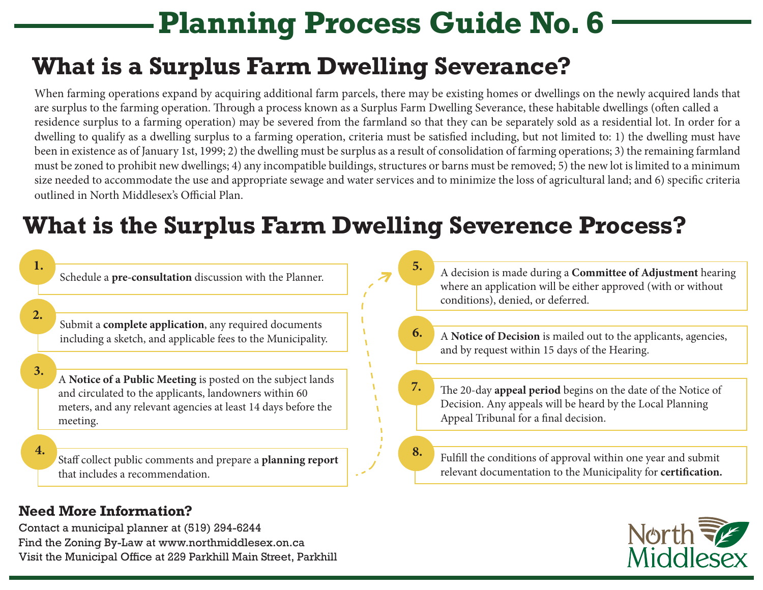# **Planning Process Guide No. 6**

### **What is a Surplus Farm Dwelling Severance?**

When farming operations expand by acquiring additional farm parcels, there may be existing homes or dwellings on the newly acquired lands that are surplus to the farming operation. Through a process known as a Surplus Farm Dwelling Severance, these habitable dwellings (often called a residence surplus to a farming operation) may be severed from the farmland so that they can be separately sold as a residential lot. In order for a dwelling to qualify as a dwelling surplus to a farming operation, criteria must be satisfied including, but not limited to: 1) the dwelling must have been in existence as of January 1st, 1999; 2) the dwelling must be surplus as a result of consolidation of farming operations; 3) the remaining farmland must be zoned to prohibit new dwellings; 4) any incompatible buildings, structures or barns must be removed; 5) the new lot is limited to a minimum size needed to accommodate the use and appropriate sewage and water services and to minimize the loss of agricultural land; and 6) specific criteria outlined in North Middlesex's Official Plan.

## **What is the Surplus Farm Dwelling Severence Process?**



North

#### **Need More Information?**

Contact a municipal planner at (519) 294-6244 Find the Zoning By-Law at www.northmiddlesex.on.ca Visit the Municipal Office at 229 Parkhill Main Street, Parkhill